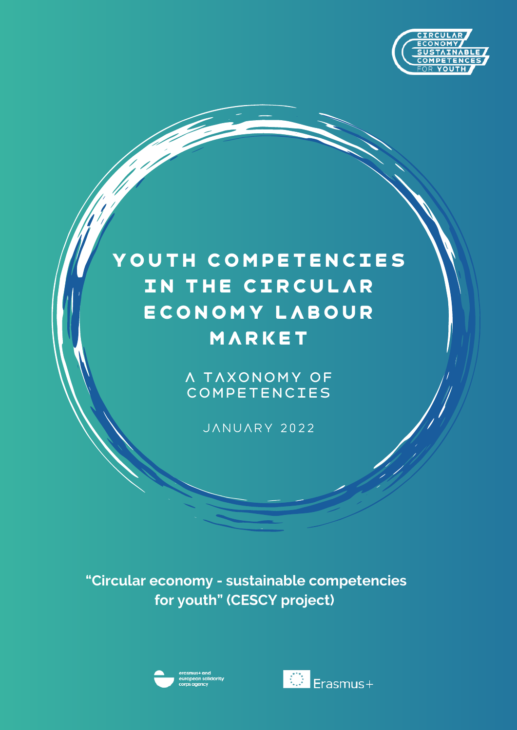

## YOUTH COMPETENCIES IN THE CIRCULAR economy labour market

A taxonomy of competencies

JANUARY 2022

**"Circular economy - sustainable competencies for youth" (CESCY project)**



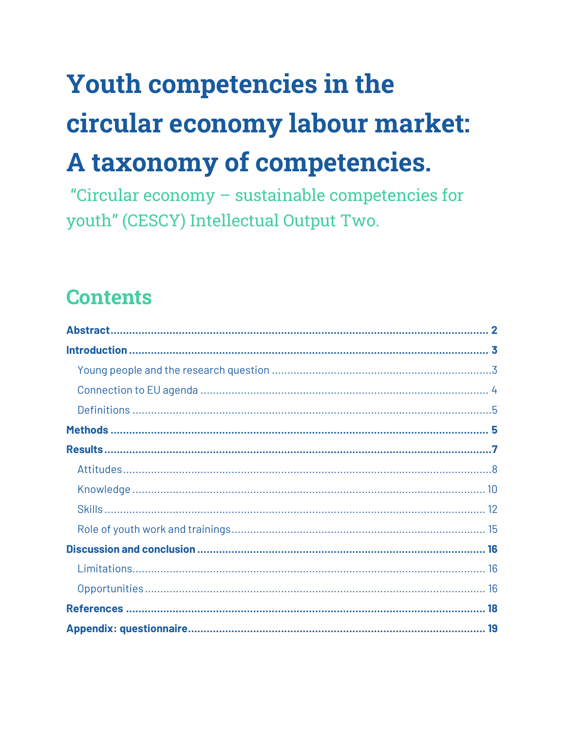# **Youth competencies in the** circular economy labour market: A taxonomy of competencies.

"Circular economy - sustainable competencies for youth" (CESCY) Intellectual Output Two.

## **Contents**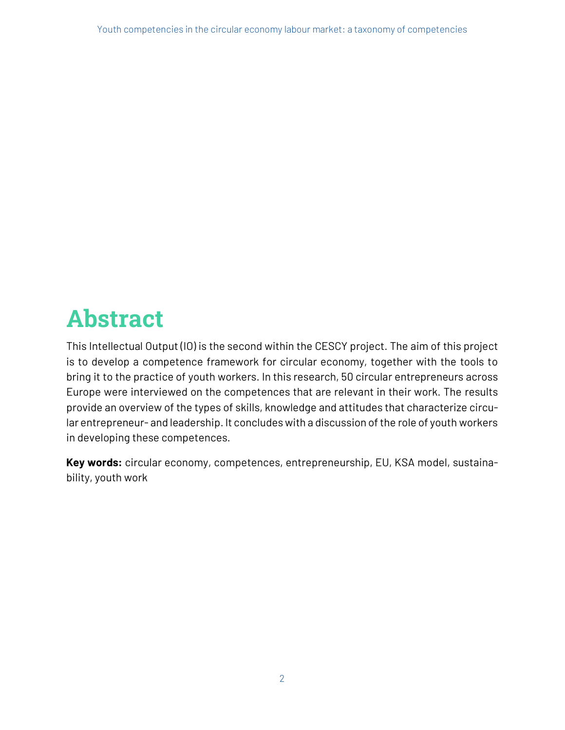## **Abstract**

This Intellectual Output (IO) is the second within the CESCY project. The aim of this project is to develop a competence framework for circular economy, together with the tools to bring it to the practice of youth workers. In this research, 50 circular entrepreneurs across Europe were interviewed on the competences that are relevant in their work. The results provide an overview of the types of skills, knowledge and attitudes that characterize circular entrepreneur- and leadership. It concludes with a discussion of the role of youth workers in developing these competences.

**Key words:** circular economy, competences, entrepreneurship, EU, KSA model, sustainability, youth work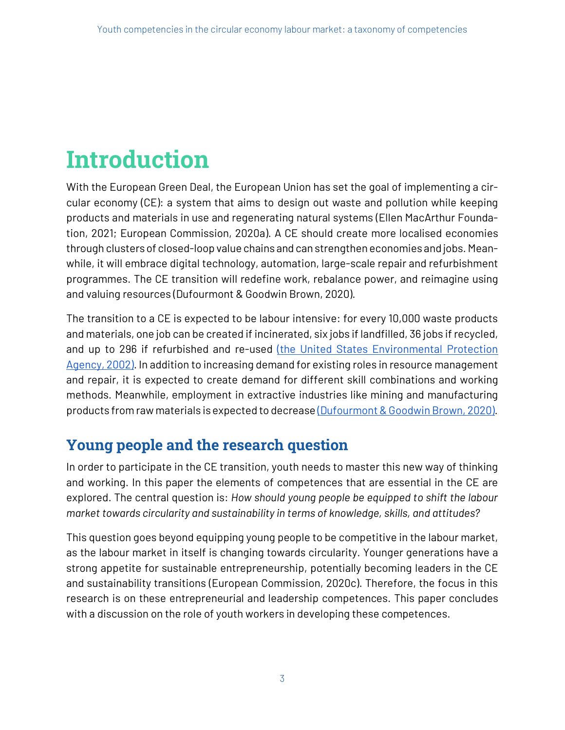## **Introduction**

With the European Green Deal, the European Union has set the goal of implementing a circular economy (CE): a system that aims to design out waste and pollution while keeping products and materials in use and regenerating natural systems (Ellen MacArthur Foundation, 2021; European Commission, 2020a). A CE should create more localised economies through clusters of closed-loop value chains and can strengthen economies and jobs. Meanwhile, it will embrace digital technology, automation, large-scale repair and refurbishment programmes. The CE transition will redefine work, rebalance power, and reimagine using and valuing resources (Dufourmont & Goodwin Brown, 2020).

The transition to a CE is expected to be labour intensive: for every 10,000 waste products and materials, one job can be created if incinerated, six jobs if landfilled, 36 jobs if recycled, and up to 296 if refurbished and re-used (the United States Environmental Protection Agency, 2002). In addition to increasing demand for existing roles in resource management and repair, it is expected to create demand for different skill combinations and working methods. Meanwhile, employment in extractive industries like mining and manufacturing products from raw materials is expected to decrease (Dufourmont & Goodwin Brown, 2020).

## **Young people and the research question**

In order to participate in the CE transition, youth needs to master this new way of thinking and working. In this paper the elements of competences that are essential in the CE are explored. The central question is: *How should young people be equipped to shift the labour market towards circularity and sustainability in terms of knowledge, skills, and attitudes?*

This question goes beyond equipping young people to be competitive in the labour market, as the labour market in itself is changing towards circularity. Younger generations have a strong appetite for sustainable entrepreneurship, potentially becoming leaders in the CE and sustainability transitions (European Commission, 2020c). Therefore, the focus in this research is on these entrepreneurial and leadership competences. This paper concludes with a discussion on the role of youth workers in developing these competences.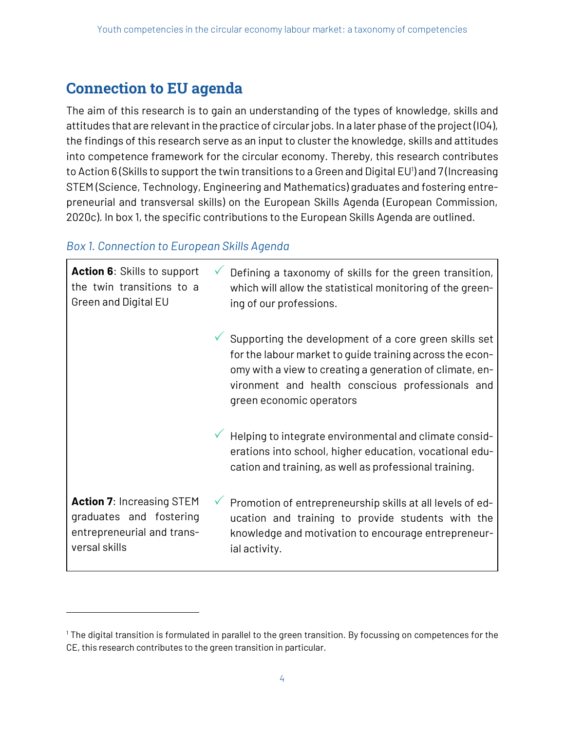### **Connection to EU agenda**

The aim of this research is to gain an understanding of the types of knowledge, skills and attitudes that are relevant in the practice of circular jobs. In a later phase of the project (IO4), the findings of this research serve as an input to cluster the knowledge, skills and attitudes into competence framework for the circular economy. Thereby, this research contributes to Action 6 (Skills to support the twin transitions to a Green and Digital EU<sup>1</sup>) and 7 (Increasing STEM (Science, Technology, Engineering and Mathematics) graduates and fostering entrepreneurial and transversal skills) on the European Skills Agenda (European Commission, 2020c). In box 1, the specific contributions to the European Skills Agenda are outlined.

#### *Box 1. Connection to European Skills Agenda*

 $\overline{a}$ 

| <b>Action 6:</b> Skills to support<br>the twin transitions to a<br>Green and Digital EU                    | Defining a taxonomy of skills for the green transition,<br>which will allow the statistical monitoring of the green-<br>ing of our professions.                                                                                                               |
|------------------------------------------------------------------------------------------------------------|---------------------------------------------------------------------------------------------------------------------------------------------------------------------------------------------------------------------------------------------------------------|
|                                                                                                            | Supporting the development of a core green skills set<br>for the labour market to guide training across the econ-<br>omy with a view to creating a generation of climate, en-<br>vironment and health conscious professionals and<br>green economic operators |
|                                                                                                            | Helping to integrate environmental and climate consid-<br>erations into school, higher education, vocational edu-<br>cation and training, as well as professional training.                                                                                   |
| <b>Action 7: Increasing STEM</b><br>graduates and fostering<br>entrepreneurial and trans-<br>versal skills | Promotion of entrepreneurship skills at all levels of ed-<br>ucation and training to provide students with the<br>knowledge and motivation to encourage entrepreneur-<br>ial activity.                                                                        |

 $1$  The digital transition is formulated in parallel to the green transition. By focussing on competences for the CE, this research contributes to the green transition in particular.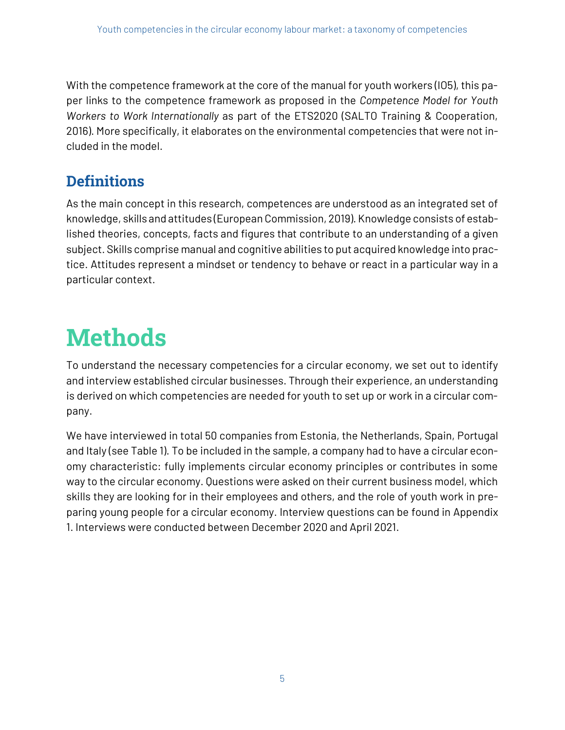With the competence framework at the core of the manual for youth workers (IO5), this paper links to the competence framework as proposed in the *Competence Model for Youth Workers to Work Internationally* as part of the ETS2020 (SALTO Training & Cooperation, 2016). More specifically, it elaborates on the environmental competencies that were not included in the model.

### **Definitions**

As the main concept in this research, competences are understood as an integrated set of knowledge, skills and attitudes (European Commission, 2019). Knowledge consists of established theories, concepts, facts and figures that contribute to an understanding of a given subject. Skills comprise manual and cognitive abilities to put acquired knowledge into practice. Attitudes represent a mindset or tendency to behave or react in a particular way in a particular context.

## **Methods**

To understand the necessary competencies for a circular economy, we set out to identify and interview established circular businesses. Through their experience, an understanding is derived on which competencies are needed for youth to set up or work in a circular company.

We have interviewed in total 50 companies from Estonia, the Netherlands, Spain, Portugal and Italy (see Table 1). To be included in the sample, a company had to have a circular economy characteristic: fully implements circular economy principles or contributes in some way to the circular economy. Questions were asked on their current business model, which skills they are looking for in their employees and others, and the role of youth work in preparing young people for a circular economy. Interview questions can be found in Appendix 1. Interviews were conducted between December 2020 and April 2021.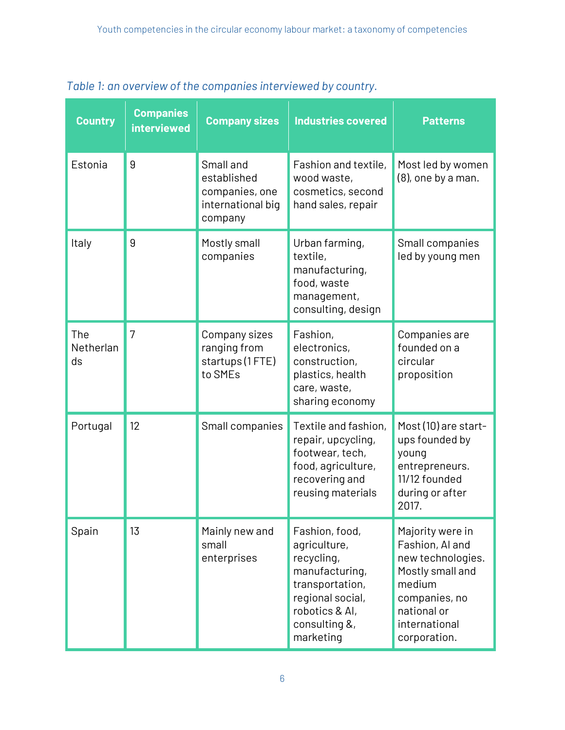| <b>Country</b>                | <b>Companies</b><br><b>interviewed</b> | <b>Company sizes</b>                                                       | <b>Industries covered</b>                                                                                                                             | <b>Patterns</b>                                                                                                                                         |
|-------------------------------|----------------------------------------|----------------------------------------------------------------------------|-------------------------------------------------------------------------------------------------------------------------------------------------------|---------------------------------------------------------------------------------------------------------------------------------------------------------|
| Estonia                       | 9                                      | Small and<br>established<br>companies, one<br>international big<br>company | Fashion and textile,<br>wood waste,<br>cosmetics, second<br>hand sales, repair                                                                        | Most led by women<br>$(8)$ , one by a man.                                                                                                              |
| Italy                         | 9                                      | Mostly small<br>companies                                                  | Urban farming,<br>textile,<br>manufacturing,<br>food, waste<br>management,<br>consulting, design                                                      | Small companies<br>led by young men                                                                                                                     |
| The<br><b>Netherlan</b><br>ds | 7                                      | Company sizes<br>ranging from<br>startups (1FTE)<br>to SMEs                | Fashion,<br>electronics,<br>construction,<br>plastics, health<br>care, waste,<br>sharing economy                                                      | Companies are<br>founded on a<br>circular<br>proposition                                                                                                |
| Portugal                      | 12                                     | Small companies                                                            | Textile and fashion,<br>repair, upcycling,<br>footwear, tech,<br>food, agriculture,<br>recovering and<br>reusing materials                            | Most (10) are start-<br>ups founded by<br>young<br>entrepreneurs.<br>11/12 founded<br>during or after<br>2017.                                          |
| Spain                         | 13                                     | Mainly new and<br>small<br>enterprises                                     | Fashion, food,<br>agriculture,<br>recycling,<br>manufacturing,<br>transportation,<br>regional social,<br>robotics & Al,<br>consulting &,<br>marketing | Majority were in<br>Fashion, Al and<br>new technologies.<br>Mostly small and<br>medium<br>companies, no<br>national or<br>international<br>corporation. |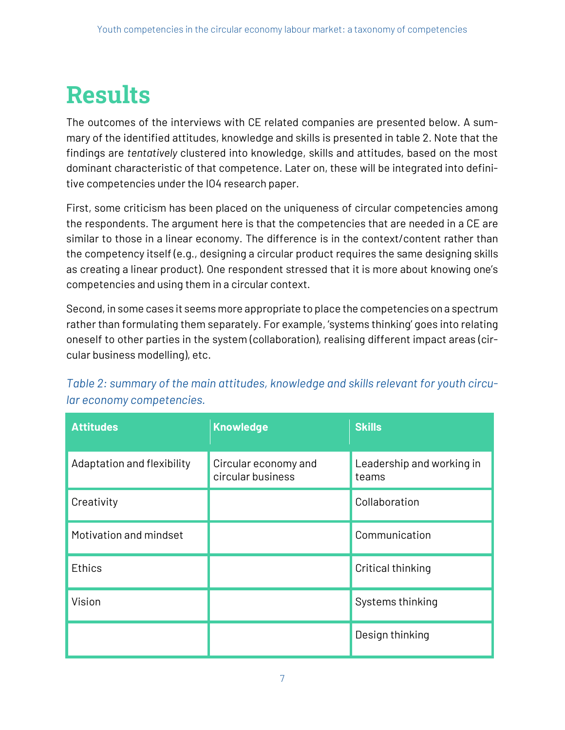## **Results**

The outcomes of the interviews with CE related companies are presented below. A summary of the identified attitudes, knowledge and skills is presented in table 2. Note that the findings are *tentatively* clustered into knowledge, skills and attitudes, based on the most dominant characteristic of that competence. Later on, these will be integrated into definitive competencies under the IO4 research paper.

First, some criticism has been placed on the uniqueness of circular competencies among the respondents. The argument here is that the competencies that are needed in a CE are similar to those in a linear economy. The difference is in the context/content rather than the competency itself (e.g., designing a circular product requires the same designing skills as creating a linear product). One respondent stressed that it is more about knowing one's competencies and using them in a circular context.

Second, in some cases it seems more appropriate to place the competencies on a spectrum rather than formulating them separately. For example, 'systems thinking' goes into relating oneself to other parties in the system (collaboration), realising different impact areas (circular business modelling), etc.

| <b>Attitudes</b>           | <b>Knowledge</b>                          | <b>Skills</b>                      |
|----------------------------|-------------------------------------------|------------------------------------|
| Adaptation and flexibility | Circular economy and<br>circular business | Leadership and working in<br>teams |
| Creativity                 |                                           | Collaboration                      |
| Motivation and mindset     |                                           | Communication                      |
| <b>Ethics</b>              |                                           | Critical thinking                  |
| Vision                     |                                           | Systems thinking                   |
|                            |                                           | Design thinking                    |

*Table 2: summary of the main attitudes, knowledge and skills relevant for youth circular economy competencies.*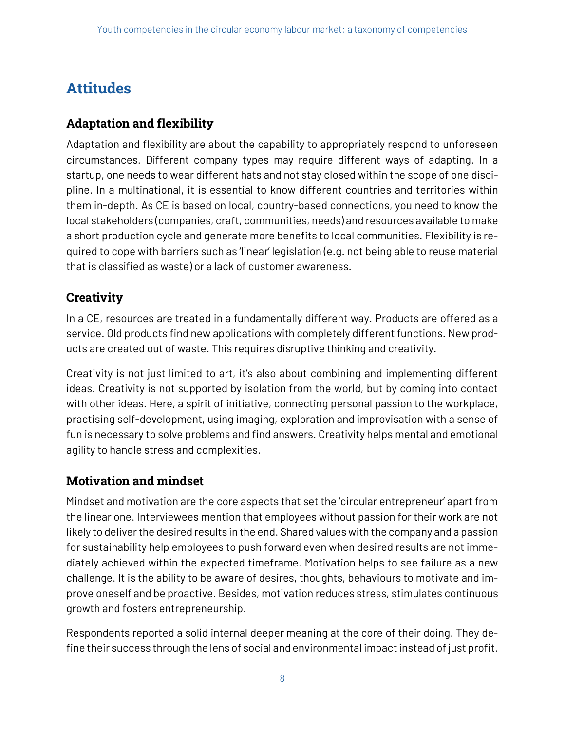## **Attitudes**

#### **Adaptation and flexibility**

Adaptation and flexibility are about the capability to appropriately respond to unforeseen circumstances. Different company types may require different ways of adapting. In a startup, one needs to wear different hats and not stay closed within the scope of one discipline. In a multinational, it is essential to know different countries and territories within them in-depth. As CE is based on local, country-based connections, you need to know the local stakeholders (companies, craft, communities, needs) and resources available to make a short production cycle and generate more benefits to local communities. Flexibility is required to cope with barriers such as 'linear' legislation (e.g. not being able to reuse material that is classified as waste) or a lack of customer awareness.

#### **Creativity**

In a CE, resources are treated in a fundamentally different way. Products are offered as a service. Old products find new applications with completely different functions. New products are created out of waste. This requires disruptive thinking and creativity.

Creativity is not just limited to art, it's also about combining and implementing different ideas. Creativity is not supported by isolation from the world, but by coming into contact with other ideas. Here, a spirit of initiative, connecting personal passion to the workplace, practising self-development, using imaging, exploration and improvisation with a sense of fun is necessary to solve problems and find answers. Creativity helps mental and emotional agility to handle stress and complexities.

#### **Motivation and mindset**

Mindset and motivation are the core aspects that set the 'circular entrepreneur' apart from the linear one. Interviewees mention that employees without passion for their work are not likely to deliver the desired results in the end. Shared values with the company and a passion for sustainability help employees to push forward even when desired results are not immediately achieved within the expected timeframe. Motivation helps to see failure as a new challenge. It is the ability to be aware of desires, thoughts, behaviours to motivate and improve oneself and be proactive. Besides, motivation reduces stress, stimulates continuous growth and fosters entrepreneurship.

Respondents reported a solid internal deeper meaning at the core of their doing. They define their success through the lens of social and environmental impact instead of just profit.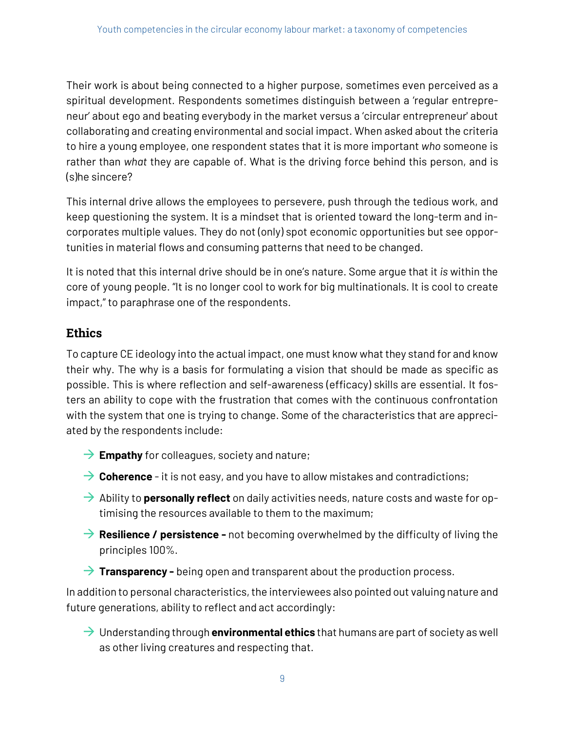Their work is about being connected to a higher purpose, sometimes even perceived as a spiritual development. Respondents sometimes distinguish between a 'regular entrepreneur' about ego and beating everybody in the market versus a 'circular entrepreneur' about collaborating and creating environmental and social impact. When asked about the criteria to hire a young employee, one respondent states that it is more important *who* someone is rather than *what* they are capable of. What is the driving force behind this person, and is (s)he sincere?

This internal drive allows the employees to persevere, push through the tedious work, and keep questioning the system. It is a mindset that is oriented toward the long-term and incorporates multiple values. They do not (only) spot economic opportunities but see opportunities in material flows and consuming patterns that need to be changed.

It is noted that this internal drive should be in one's nature. Some argue that it *is* within the core of young people. "It is no longer cool to work for big multinationals. It is cool to create impact," to paraphrase one of the respondents.

#### **Ethics**

To capture CE ideology into the actual impact, one must know what they stand for and know their why. The why is a basis for formulating a vision that should be made as specific as possible. This is where reflection and self-awareness (efficacy) skills are essential. It fosters an ability to cope with the frustration that comes with the continuous confrontation with the system that one is trying to change. Some of the characteristics that are appreciated by the respondents include:

- $\rightarrow$  **Empathy** for colleagues, society and nature;
- $\rightarrow$  Coherence it is not easy, and you have to allow mistakes and contradictions;
- $\rightarrow$  Ability to **personally reflect** on daily activities needs, nature costs and waste for optimising the resources available to them to the maximum;
- **→ Resilience / persistence -** not becoming overwhelmed by the difficulty of living the principles 100%.
- $\rightarrow$  **Transparency -** being open and transparent about the production process.

In addition to personal characteristics, the interviewees also pointed out valuing nature and future generations, ability to reflect and act accordingly:

à Understanding through **environmental ethics** that humans are part of society as well as other living creatures and respecting that.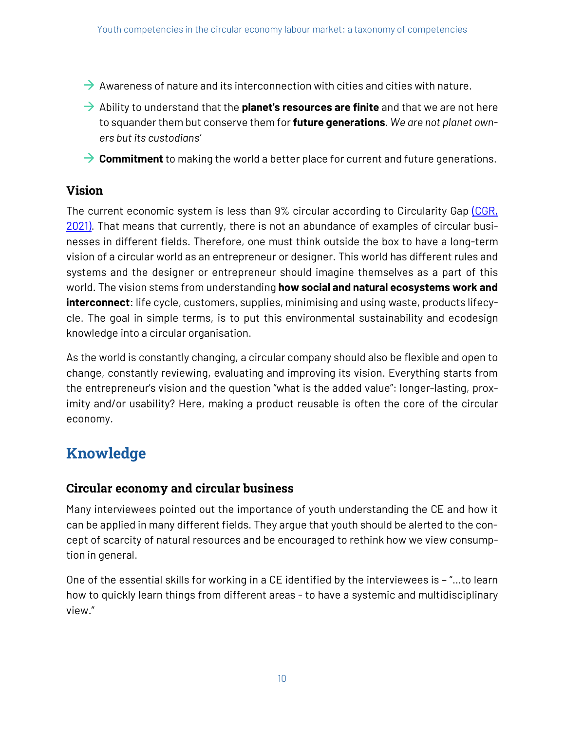- $\rightarrow$  Awareness of nature and its interconnection with cities and cities with nature.
- $\rightarrow$  Ability to understand that the **planet's resources are finite** and that we are not here to squander them but conserve them for **future generations**. *We are not planet owners but its custodians'*
- → **Commitment** to making the world a better place for current and future generations.

#### **Vision**

The current economic system is less than 9% circular according to Circularity Gap (CGR, 2021). That means that currently, there is not an abundance of examples of circular businesses in different fields. Therefore, one must think outside the box to have a long-term vision of a circular world as an entrepreneur or designer. This world has different rules and systems and the designer or entrepreneur should imagine themselves as a part of this world. The vision stems from understanding **how social and natural ecosystems work and interconnect**: life cycle, customers, supplies, minimising and using waste, products lifecycle. The goal in simple terms, is to put this environmental sustainability and ecodesign knowledge into a circular organisation.

As the world is constantly changing, a circular company should also be flexible and open to change, constantly reviewing, evaluating and improving its vision. Everything starts from the entrepreneur's vision and the question "what is the added value": longer-lasting, proximity and/or usability? Here, making a product reusable is often the core of the circular economy.

### **Knowledge**

#### **Circular economy and circular business**

Many interviewees pointed out the importance of youth understanding the CE and how it can be applied in many different fields. They argue that youth should be alerted to the concept of scarcity of natural resources and be encouraged to rethink how we view consumption in general.

One of the essential skills for working in a CE identified by the interviewees is – "…to learn how to quickly learn things from different areas - to have a systemic and multidisciplinary view."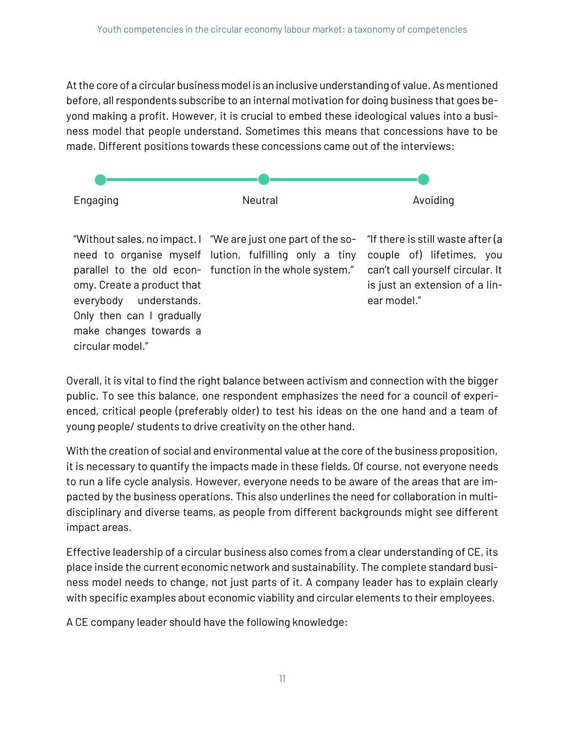At the core of a circular business model is an inclusive understanding of value. As mentioned before, all respondents subscribe to an internal motivation for doing business that goes beyond making a profit. However, it is crucial to embed these ideological values into a business model that people understand. Sometimes this means that concessions have to be made. Different positions towards these concessions came out of the interviews:



Overall, it is vital to find the right balance between activism and connection with the bigger public. To see this balance, one respondent emphasizes the need for a council of experienced, critical people (preferably older) to test his ideas on the one hand and a team of young people/ students to drive creativity on the other hand.

With the creation of social and environmental value at the core of the business proposition, it is necessary to quantify the impacts made in these fields. Of course, not everyone needs to run a life cycle analysis. However, everyone needs to be aware of the areas that are impacted by the business operations. This also underlines the need for collaboration in multidisciplinary and diverse teams, as people from different backgrounds might see different impact areas.

Effective leadership of a circular business also comes from a clear understanding of CE, its place inside the current economic network and sustainability. The complete standard business model needs to change, not just parts of it. A company leader has to explain clearly with specific examples about economic viability and circular elements to their employees.

A CE company leader should have the following knowledge:

circular model."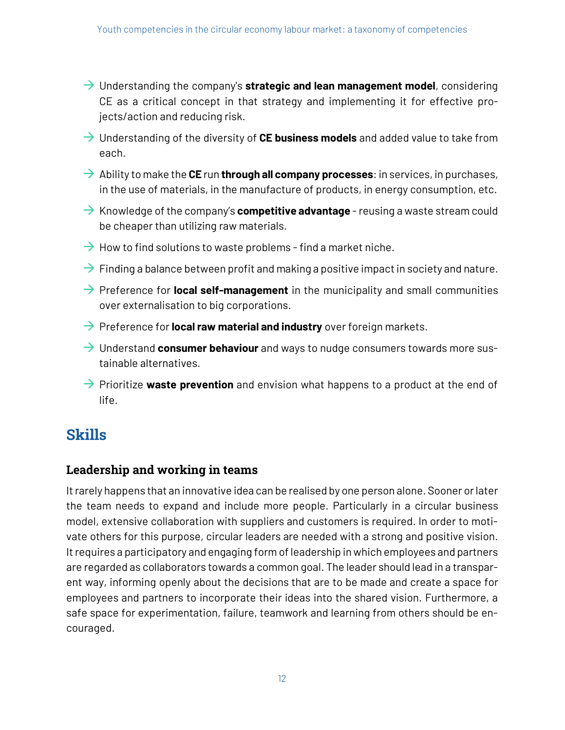- à Understanding the company's **strategic and lean management model**, considering CE as a critical concept in that strategy and implementing it for effective projects/action and reducing risk.
- à Understanding of the diversity of **CE business models** and added value to take from each.
- $\rightarrow$  Ability to make the **CE** run **through all company processes**: in services, in purchases, in the use of materials, in the manufacture of products, in energy consumption, etc.
- $\rightarrow$  Knowledge of the company's **competitive advantage** reusing a waste stream could be cheaper than utilizing raw materials.
- $\rightarrow$  How to find solutions to waste problems find a market niche.
- $\rightarrow$  Finding a balance between profit and making a positive impact in society and nature.
- $\rightarrow$  Preference for **local self-management** in the municipality and small communities over externalisation to big corporations.
- $\rightarrow$  Preference for **local raw material and industry** over foreign markets.
- $\rightarrow$  Understand **consumer behaviour** and ways to nudge consumers towards more sustainable alternatives.
- à Prioritize **waste prevention** and envision what happens to a product at the end of life.

### **Skills**

#### **Leadership and working in teams**

It rarely happens that an innovative idea can be realised by one person alone. Sooner or later the team needs to expand and include more people. Particularly in a circular business model, extensive collaboration with suppliers and customers is required. In order to motivate others for this purpose, circular leaders are needed with a strong and positive vision. It requires a participatory and engaging form of leadership in which employees and partners are regarded as collaborators towards a common goal. The leader should lead in a transparent way, informing openly about the decisions that are to be made and create a space for employees and partners to incorporate their ideas into the shared vision. Furthermore, a safe space for experimentation, failure, teamwork and learning from others should be encouraged.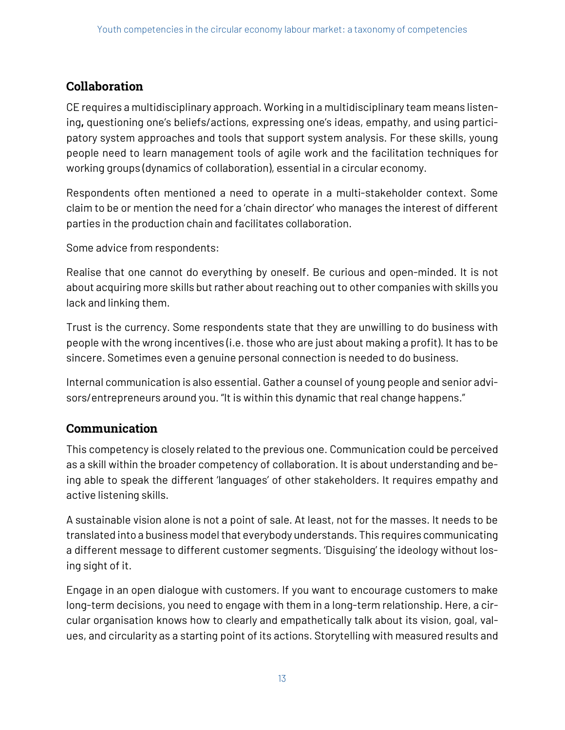#### **Collaboration**

CE requires a multidisciplinary approach. Working in a multidisciplinary team means listening**,** questioning one's beliefs/actions, expressing one's ideas, empathy, and using participatory system approaches and tools that support system analysis. For these skills, young people need to learn management tools of agile work and the facilitation techniques for working groups (dynamics of collaboration), essential in a circular economy.

Respondents often mentioned a need to operate in a multi-stakeholder context. Some claim to be or mention the need for a 'chain director' who manages the interest of different parties in the production chain and facilitates collaboration.

Some advice from respondents:

Realise that one cannot do everything by oneself. Be curious and open-minded. It is not about acquiring more skills but rather about reaching out to other companies with skills you lack and linking them.

Trust is the currency. Some respondents state that they are unwilling to do business with people with the wrong incentives (i.e. those who are just about making a profit). It has to be sincere. Sometimes even a genuine personal connection is needed to do business.

Internal communication is also essential. Gather a counsel of young people and senior advisors/entrepreneurs around you. "It is within this dynamic that real change happens."

#### **Communication**

This competency is closely related to the previous one. Communication could be perceived as a skill within the broader competency of collaboration. It is about understanding and being able to speak the different 'languages' of other stakeholders. It requires empathy and active listening skills.

A sustainable vision alone is not a point of sale. At least, not for the masses. It needs to be translated into a business model that everybody understands. This requires communicating a different message to different customer segments. 'Disguising' the ideology without losing sight of it.

Engage in an open dialogue with customers. If you want to encourage customers to make long-term decisions, you need to engage with them in a long-term relationship. Here, a circular organisation knows how to clearly and empathetically talk about its vision, goal, values, and circularity as a starting point of its actions. Storytelling with measured results and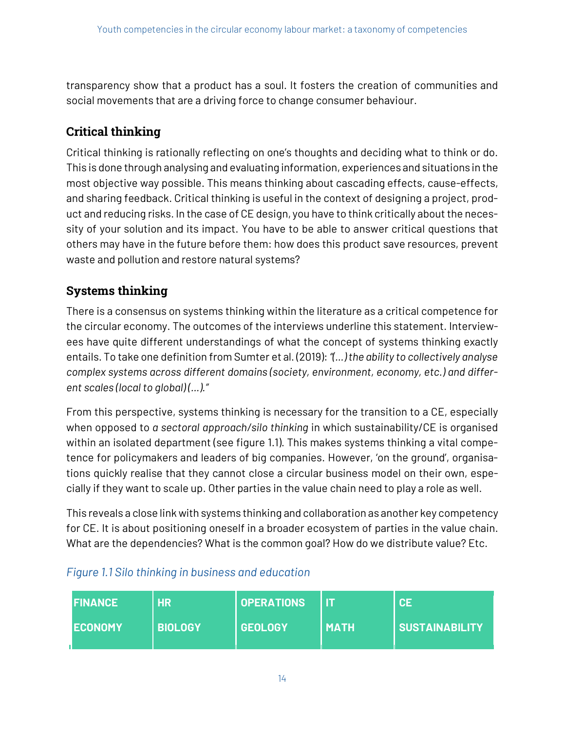transparency show that a product has a soul. It fosters the creation of communities and social movements that are a driving force to change consumer behaviour.

#### **Critical thinking**

Critical thinking is rationally reflecting on one's thoughts and deciding what to think or do. This is done through analysing and evaluating information, experiences and situations in the most objective way possible. This means thinking about cascading effects, cause-effects, and sharing feedback. Critical thinking is useful in the context of designing a project, product and reducing risks. In the case of CE design, you have to think critically about the necessity of your solution and its impact. You have to be able to answer critical questions that others may have in the future before them: how does this product save resources, prevent waste and pollution and restore natural systems?

#### **Systems thinking**

There is a consensus on systems thinking within the literature as a critical competence for the circular economy. The outcomes of the interviews underline this statement. Interviewees have quite different understandings of what the concept of systems thinking exactly entails. To take one definition from Sumter et al. (2019): *"(…) the ability to collectively analyse complex systems across different domains (society, environment, economy, etc.) and different scales (local to global) (…)."* 

From this perspective, systems thinking is necessary for the transition to a CE, especially when opposed to *a sectoral approach/silo thinking* in which sustainability/CE is organised within an isolated department (see figure 1.1). This makes systems thinking a vital competence for policymakers and leaders of big companies. However, 'on the ground', organisations quickly realise that they cannot close a circular business model on their own, especially if they want to scale up. Other parties in the value chain need to play a role as well.

This reveals a close link with systems thinking and collaboration as another key competency for CE. It is about positioning oneself in a broader ecosystem of parties in the value chain. What are the dependencies? What is the common goal? How do we distribute value? Etc.

| IFINANCE | <b>HR</b>      | <b>OPERATIONS</b> |        | CE                    |
|----------|----------------|-------------------|--------|-----------------------|
| IECONOMY | <b>BIOLOGY</b> | <b>GEOLOGY</b>    | l MATH | <b>SUSTAINABILITY</b> |

#### *Figure 1.1 Silo thinking in business and education*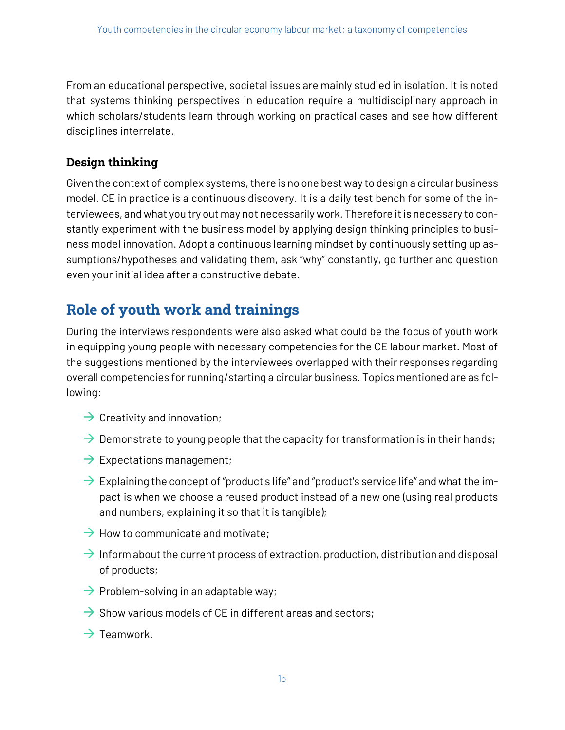From an educational perspective, societal issues are mainly studied in isolation. It is noted that systems thinking perspectives in education require a multidisciplinary approach in which scholars/students learn through working on practical cases and see how different disciplines interrelate.

#### **Design thinking**

Given the context of complex systems, there is no one best way to design a circular business model. CE in practice is a continuous discovery. It is a daily test bench for some of the interviewees, and what you try out may not necessarily work. Therefore it is necessary to constantly experiment with the business model by applying design thinking principles to business model innovation. Adopt a continuous learning mindset by continuously setting up assumptions/hypotheses and validating them, ask "why" constantly, go further and question even your initial idea after a constructive debate.

### **Role of youth work and trainings**

During the interviews respondents were also asked what could be the focus of youth work in equipping young people with necessary competencies for the CE labour market. Most of the suggestions mentioned by the interviewees overlapped with their responses regarding overall competencies for running/starting a circular business. Topics mentioned are as following:

- $\rightarrow$  Creativity and innovation;
- $\rightarrow$  Demonstrate to young people that the capacity for transformation is in their hands;
- $\rightarrow$  Expectations management;
- $\rightarrow$  Explaining the concept of "product's life" and "product's service life" and what the impact is when we choose a reused product instead of a new one (using real products and numbers, explaining it so that it is tangible);
- $\rightarrow$  How to communicate and motivate;
- $\rightarrow$  Inform about the current process of extraction, production, distribution and disposal of products;
- $\rightarrow$  Problem-solving in an adaptable way;
- $\rightarrow$  Show various models of CE in different areas and sectors;
- $\rightarrow$  Teamwork.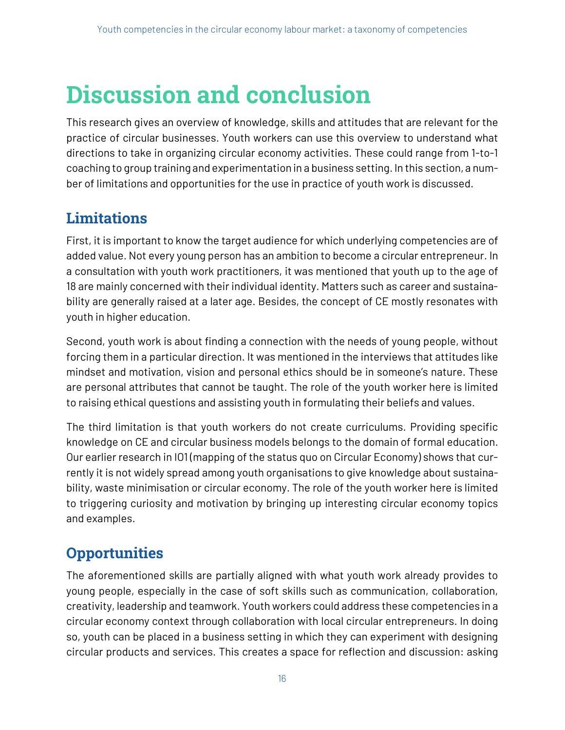## **Discussion and conclusion**

This research gives an overview of knowledge, skills and attitudes that are relevant for the practice of circular businesses. Youth workers can use this overview to understand what directions to take in organizing circular economy activities. These could range from 1-to-1 coaching to group training and experimentation in a business setting. In this section, a number of limitations and opportunities for the use in practice of youth work is discussed.

### **Limitations**

First, it is important to know the target audience for which underlying competencies are of added value. Not every young person has an ambition to become a circular entrepreneur. In a consultation with youth work practitioners, it was mentioned that youth up to the age of 18 are mainly concerned with their individual identity. Matters such as career and sustainability are generally raised at a later age. Besides, the concept of CE mostly resonates with youth in higher education.

Second, youth work is about finding a connection with the needs of young people, without forcing them in a particular direction. It was mentioned in the interviews that attitudes like mindset and motivation, vision and personal ethics should be in someone's nature. These are personal attributes that cannot be taught. The role of the youth worker here is limited to raising ethical questions and assisting youth in formulating their beliefs and values.

The third limitation is that youth workers do not create curriculums. Providing specific knowledge on CE and circular business models belongs to the domain of formal education. Our earlier research in IO1 (mapping of the status quo on Circular Economy) shows that currently it is not widely spread among youth organisations to give knowledge about sustainability, waste minimisation or circular economy. The role of the youth worker here is limited to triggering curiosity and motivation by bringing up interesting circular economy topics and examples.

### **Opportunities**

The aforementioned skills are partially aligned with what youth work already provides to young people, especially in the case of soft skills such as communication, collaboration, creativity, leadership and teamwork. Youth workers could address these competencies in a circular economy context through collaboration with local circular entrepreneurs. In doing so, youth can be placed in a business setting in which they can experiment with designing circular products and services. This creates a space for reflection and discussion: asking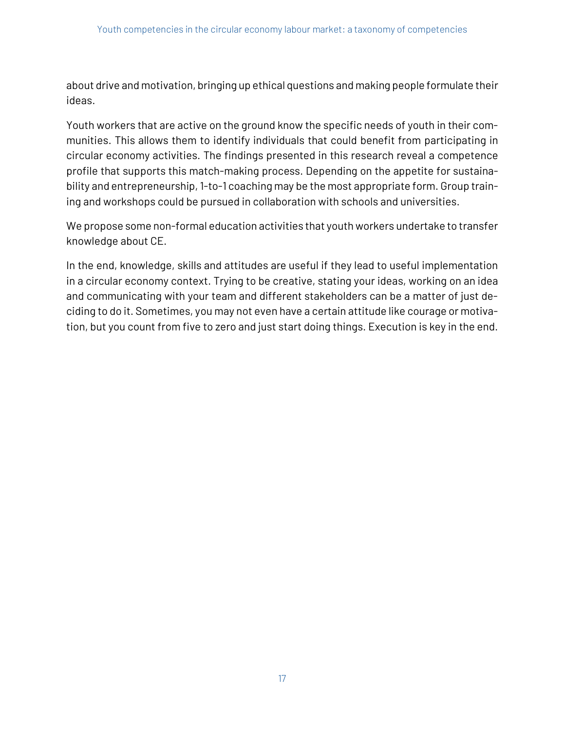about drive and motivation, bringing up ethical questions and making people formulate their ideas.

Youth workers that are active on the ground know the specific needs of youth in their communities. This allows them to identify individuals that could benefit from participating in circular economy activities. The findings presented in this research reveal a competence profile that supports this match-making process. Depending on the appetite for sustainability and entrepreneurship, 1-to-1 coaching may be the most appropriate form. Group training and workshops could be pursued in collaboration with schools and universities.

We propose some non-formal education activities that youth workers undertake to transfer knowledge about CE.

In the end, knowledge, skills and attitudes are useful if they lead to useful implementation in a circular economy context. Trying to be creative, stating your ideas, working on an idea and communicating with your team and different stakeholders can be a matter of just deciding to do it. Sometimes, you may not even have a certain attitude like courage or motivation, but you count from five to zero and just start doing things. Execution is key in the end.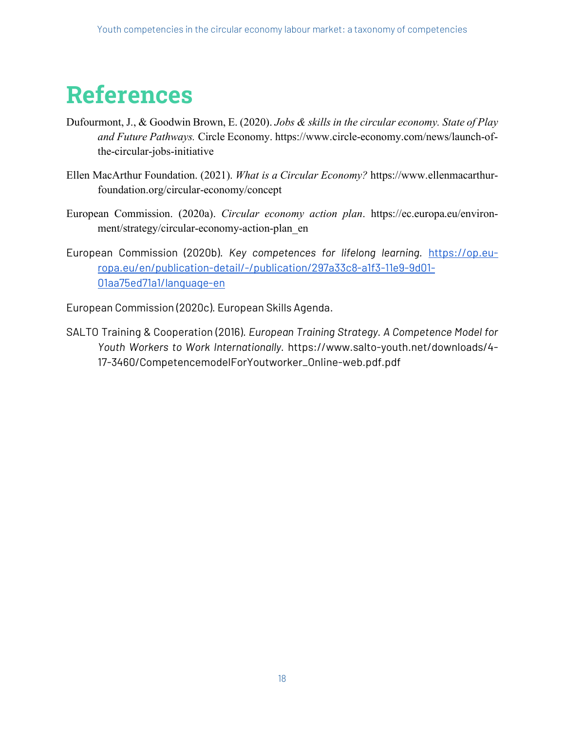## **References**

- Dufourmont, J., & Goodwin Brown, E. (2020). *Jobs & skills in the circular economy. State of Play and Future Pathways.* Circle Economy. https://www.circle-economy.com/news/launch-ofthe-circular-jobs-initiative
- Ellen MacArthur Foundation. (2021). *What is a Circular Economy?* https://www.ellenmacarthurfoundation.org/circular-economy/concept
- European Commission. (2020a). *Circular economy action plan*. https://ec.europa.eu/environment/strategy/circular-economy-action-plan\_en
- European Commission (2020b). *Key competences for lifelong learning.* https://op.europa.eu/en/publication-detail/-/publication/297a33c8-a1f3-11e9-9d01- 01aa75ed71a1/language-en

European Commission (2020c). European Skills Agenda.

SALTO Training & Cooperation (2016). *European Training Strategy. A Competence Model for Youth Workers to Work Internationally.* https://www.salto-youth.net/downloads/4- 17-3460/CompetencemodelForYoutworker\_Online-web.pdf.pdf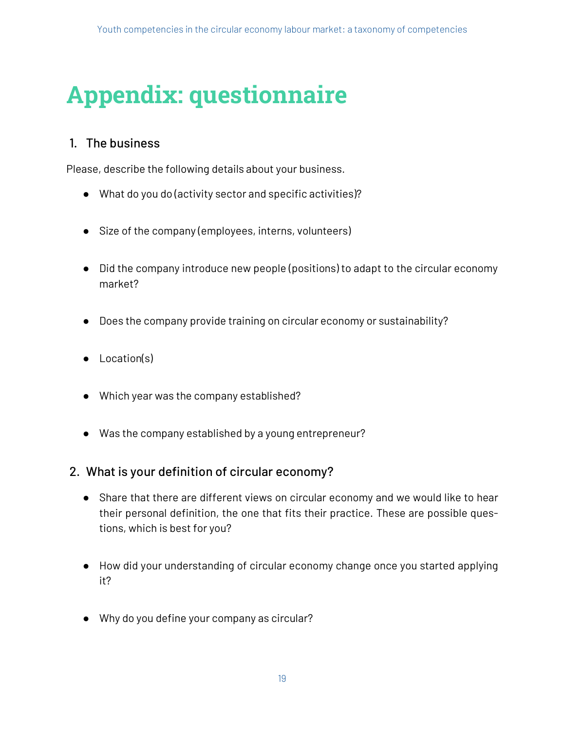## **Appendix: questionnaire**

#### 1. The business

Please, describe the following details about your business.

- What do you do (activity sector and specific activities)?
- Size of the company (employees, interns, volunteers)
- Did the company introduce new people (positions) to adapt to the circular economy market?
- Does the company provide training on circular economy or sustainability?
- Location(s)
- Which year was the company established?
- Was the company established by a young entrepreneur?

#### 2. What is your definition of circular economy?

- Share that there are different views on circular economy and we would like to hear their personal definition, the one that fits their practice. These are possible questions, which is best for you?
- How did your understanding of circular economy change once you started applying it?
- Why do you define your company as circular?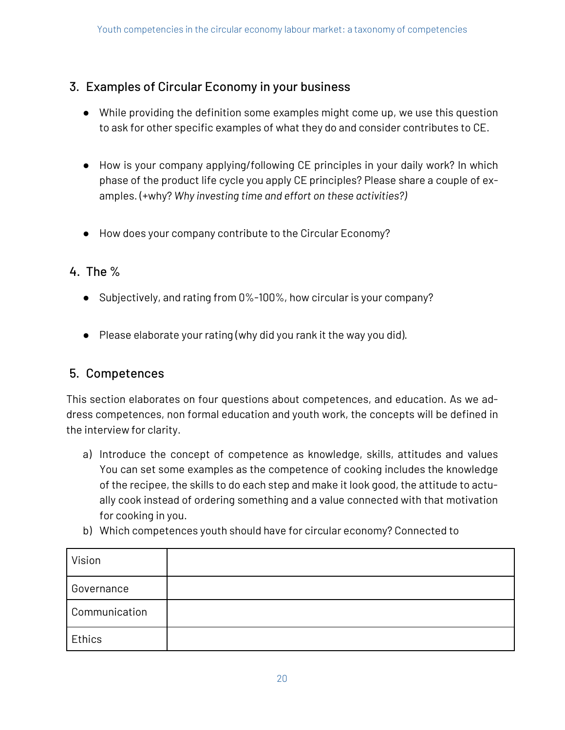#### 3. Examples of Circular Economy in your business

- While providing the definition some examples might come up, we use this question to ask for other specific examples of what they do and consider contributes to CE.
- How is your company applying/following CE principles in your daily work? In which phase of the product life cycle you apply CE principles? Please share a couple of examples. (+why? *Why investing time and effort on these activities?)*
- How does your company contribute to the Circular Economy?

#### 4. The %

- Subjectively, and rating from 0%-100%, how circular is your company?
- Please elaborate your rating (why did you rank it the way you did).

#### 5. Competences

This section elaborates on four questions about competences, and education. As we address competences, non formal education and youth work, the concepts will be defined in the interview for clarity.

- a) Introduce the concept of competence as knowledge, skills, attitudes and values You can set some examples as the competence of cooking includes the knowledge of the recipee, the skills to do each step and make it look good, the attitude to actually cook instead of ordering something and a value connected with that motivation for cooking in you.
- b) Which competences youth should have for circular economy? Connected to

| Vision        |  |
|---------------|--|
| Governance    |  |
| Communication |  |
| Ethics        |  |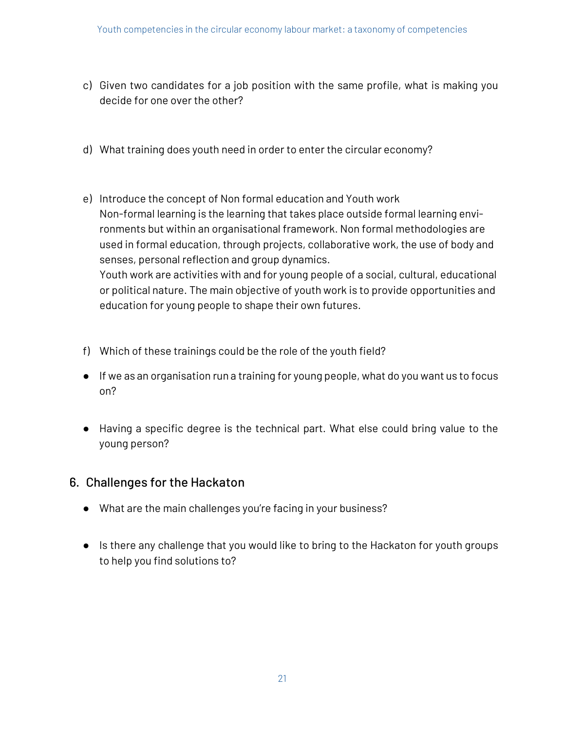- c) Given two candidates for a job position with the same profile, what is making you decide for one over the other?
- d) What training does youth need in order to enter the circular economy?
- e) Introduce the concept of Non formal education and Youth work Non-formal learning is the learning that takes place outside formal learning environments but within an organisational framework. Non formal methodologies are used in formal education, through projects, collaborative work, the use of body and senses, personal reflection and group dynamics. Youth work are activities with and for young people of a social, cultural, educational or political nature. The main objective of youth work is to provide opportunities and education for young people to shape their own futures.
- f) Which of these trainings could be the role of the youth field?
- If we as an organisation run a training for young people, what do you want us to focus on?
- Having a specific degree is the technical part. What else could bring value to the young person?

#### 6. Challenges for the Hackaton

- What are the main challenges you're facing in your business?
- Is there any challenge that you would like to bring to the Hackaton for youth groups to help you find solutions to?